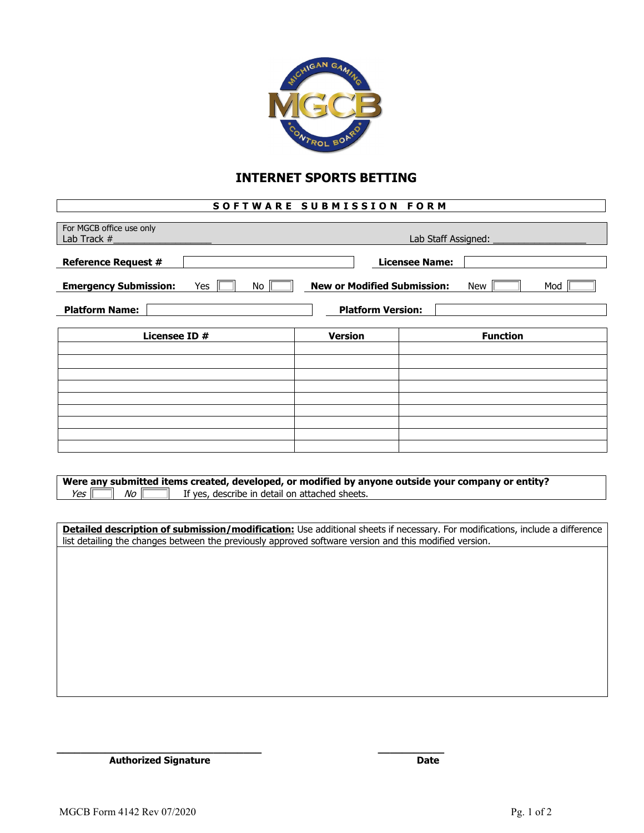

## **INTERNET SPORTS BETTING**

## **SOFTWARE SUBMISSION FORM**

| For MGCB office use only<br>Lab Track #                                                                                                                                                                                                | Lab Staff Assigned: |                       |
|----------------------------------------------------------------------------------------------------------------------------------------------------------------------------------------------------------------------------------------|---------------------|-----------------------|
| <b>Reference Request #</b>                                                                                                                                                                                                             |                     | <b>Licensee Name:</b> |
| <b>New or Modified Submission:</b><br><b>Emergency Submission:</b><br>Yes<br>No<br><b>New</b><br>Mod                                                                                                                                   |                     |                       |
| <b>Platform Name:</b><br><b>Platform Version:</b>                                                                                                                                                                                      |                     |                       |
| Licensee ID #                                                                                                                                                                                                                          | <b>Version</b>      | <b>Function</b>       |
|                                                                                                                                                                                                                                        |                     |                       |
|                                                                                                                                                                                                                                        |                     |                       |
|                                                                                                                                                                                                                                        |                     |                       |
|                                                                                                                                                                                                                                        |                     |                       |
|                                                                                                                                                                                                                                        |                     |                       |
| Were any submitted items created, developed, or modified by anyone outside your company or entity?<br>Yes<br>No<br>If yes, describe in detail on attached sheets.                                                                      |                     |                       |
|                                                                                                                                                                                                                                        |                     |                       |
| Detailed description of submission/modification: Use additional sheets if necessary. For modifications, include a difference<br>list detailing the changes between the previously approved software version and this modified version. |                     |                       |
|                                                                                                                                                                                                                                        |                     |                       |
|                                                                                                                                                                                                                                        |                     |                       |
|                                                                                                                                                                                                                                        |                     |                       |
|                                                                                                                                                                                                                                        |                     |                       |

**\_\_\_\_\_\_\_\_\_\_\_\_\_\_\_\_\_\_\_\_\_\_\_\_\_\_\_\_\_\_\_\_\_\_ \_\_\_\_\_\_\_\_\_\_\_** Authorized Signature Date